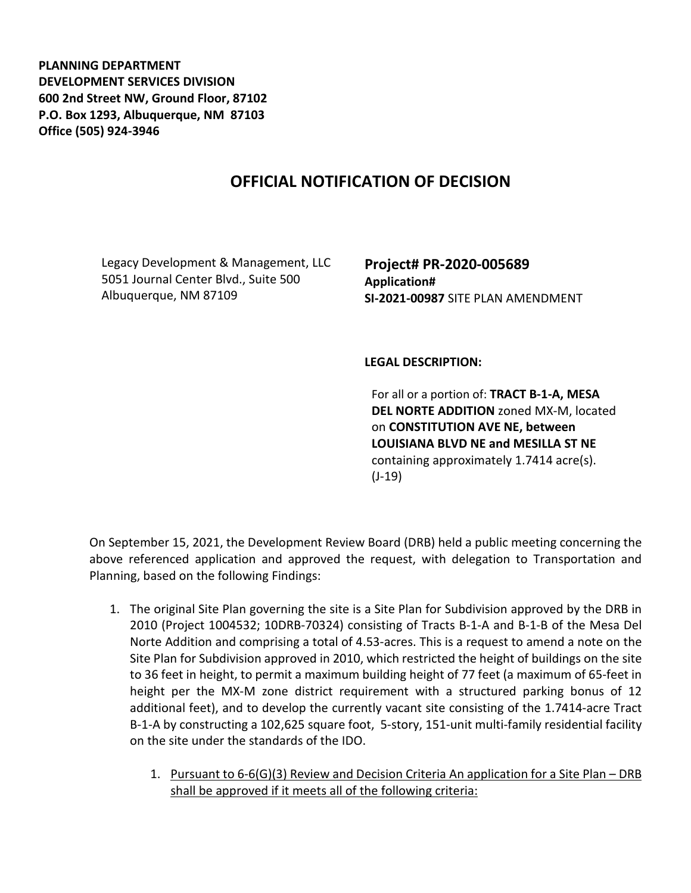**PLANNING DEPARTMENT DEVELOPMENT SERVICES DIVISION 600 2nd Street NW, Ground Floor, 87102 P.O. Box 1293, Albuquerque, NM 87103 Office (505) 924-3946** 

## **OFFICIAL NOTIFICATION OF DECISION**

Legacy Development & Management, LLC 5051 Journal Center Blvd., Suite 500 Albuquerque, NM 87109

**Project# PR-2020-005689 Application# SI-2021-00987** SITE PLAN AMENDMENT

## **LEGAL DESCRIPTION:**

For all or a portion of: **TRACT B-1-A, MESA DEL NORTE ADDITION** zoned MX-M, located on **CONSTITUTION AVE NE, between LOUISIANA BLVD NE and MESILLA ST NE**  containing approximately 1.7414 acre(s). (J-19)

On September 15, 2021, the Development Review Board (DRB) held a public meeting concerning the above referenced application and approved the request, with delegation to Transportation and Planning, based on the following Findings:

- 1. The original Site Plan governing the site is a Site Plan for Subdivision approved by the DRB in 2010 (Project 1004532; 10DRB-70324) consisting of Tracts B-1-A and B-1-B of the Mesa Del Norte Addition and comprising a total of 4.53-acres. This is a request to amend a note on the Site Plan for Subdivision approved in 2010, which restricted the height of buildings on the site to 36 feet in height, to permit a maximum building height of 77 feet (a maximum of 65-feet in height per the MX-M zone district requirement with a structured parking bonus of 12 additional feet), and to develop the currently vacant site consisting of the 1.7414-acre Tract B-1-A by constructing a 102,625 square foot, 5-story, 151-unit multi-family residential facility on the site under the standards of the IDO.
	- 1. Pursuant to 6-6(G)(3) Review and Decision Criteria An application for a Site Plan DRB shall be approved if it meets all of the following criteria: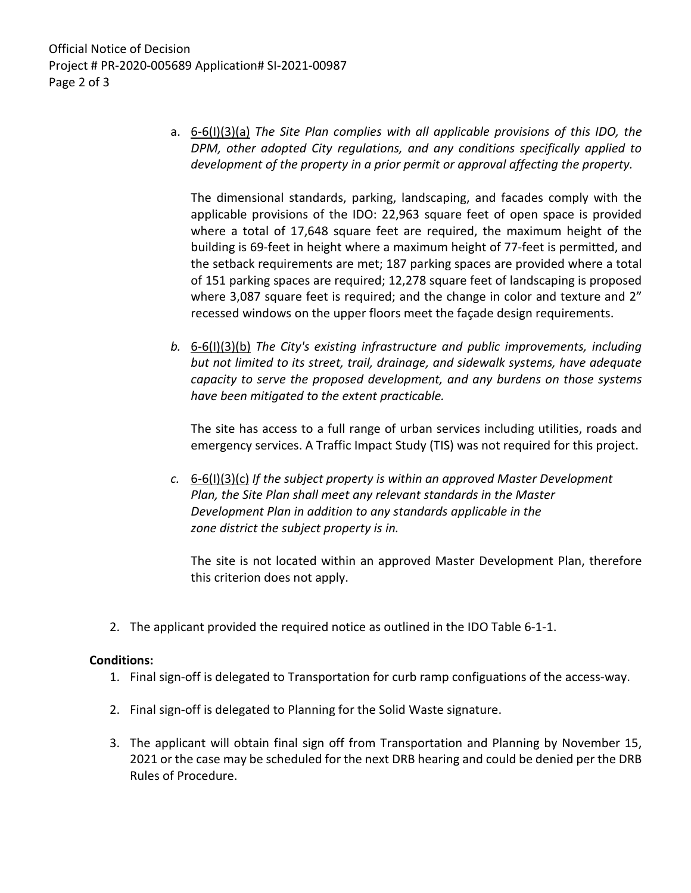a. 6-6(I)(3)(a) *The Site Plan complies with all applicable provisions of this IDO, the DPM, other adopted City regulations, and any conditions specifically applied to development of the property in a prior permit or approval affecting the property.*

The dimensional standards, parking, landscaping, and facades comply with the applicable provisions of the IDO: 22,963 square feet of open space is provided where a total of 17,648 square feet are required, the maximum height of the building is 69-feet in height where a maximum height of 77-feet is permitted, and the setback requirements are met; 187 parking spaces are provided where a total of 151 parking spaces are required; 12,278 square feet of landscaping is proposed where 3,087 square feet is required; and the change in color and texture and 2" recessed windows on the upper floors meet the façade design requirements.

*b.* 6-6(I)(3)(b) *The City's existing infrastructure and public improvements, including but not limited to its street, trail, drainage, and sidewalk systems, have adequate capacity to serve the proposed development, and any burdens on those systems have been mitigated to the extent practicable.* 

The site has access to a full range of urban services including utilities, roads and emergency services. A Traffic Impact Study (TIS) was not required for this project.

*c.* 6-6(I)(3)(c) *If the subject property is within an approved Master Development Plan, the Site Plan shall meet any relevant standards in the Master Development Plan in addition to any standards applicable in the zone district the subject property is in.*

The site is not located within an approved Master Development Plan, therefore this criterion does not apply.

2. The applicant provided the required notice as outlined in the IDO Table 6-1-1.

## **Conditions:**

- 1. Final sign-off is delegated to Transportation for curb ramp configuations of the access-way.
- 2. Final sign-off is delegated to Planning for the Solid Waste signature.
- 3. The applicant will obtain final sign off from Transportation and Planning by November 15, 2021 or the case may be scheduled for the next DRB hearing and could be denied per the DRB Rules of Procedure.